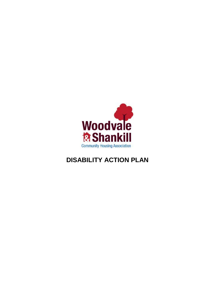

## **DISABILITY ACTION PLAN**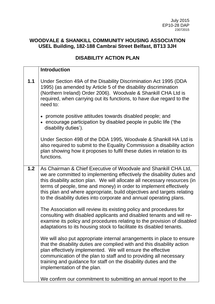## **WOODVALE & SHANKILL COMMUNITY HOUSING ASSOCIATION USEL Building, 182-188 Cambrai Street Belfast, BT13 3JH**

## **DISABILITY ACTION PLAN**

|       | <b>Introduction</b>                                                                                                                                                                                                                                                                                                                                                                                                                           |
|-------|-----------------------------------------------------------------------------------------------------------------------------------------------------------------------------------------------------------------------------------------------------------------------------------------------------------------------------------------------------------------------------------------------------------------------------------------------|
| $1.1$ | Under Section 49A of the Disability Discrimination Act 1995 (DDA<br>1995) (as amended by Article 5 of the disability discrimination<br>(Northern Ireland) Order 2006). Woodvale & Shankill CHA Ltd is<br>required, when carrying out its functions, to have due regard to the<br>need to:                                                                                                                                                     |
|       | promote positive attitudes towards disabled people; and<br>• encourage participation by disabled people in public life ('the<br>disability duties').                                                                                                                                                                                                                                                                                          |
|       | Under Section 49B of the DDA 1995, Woodvale & Shankill HA Ltd is<br>also required to submit to the Equality Commission a disability action<br>plan showing how it proposes to fulfil these duties in relation to its<br>functions.                                                                                                                                                                                                            |
| $1.2$ | As Chairman & Chief Executive of Woodvale and Shankill CHA Ltd,<br>we are committed to implementing effectively the disability duties and<br>this disability action plan. We will allocate all necessary resources (in<br>terms of people, time and money) in order to implement effectively<br>this plan and where appropriate, build objectives and targets relating<br>to the disability duties into corporate and annual operating plans. |
|       | The Association will review its existing policy and procedures for<br>consulting with disabled applicants and disabled tenants and will re-<br>examine its policy and procedures relating to the provision of disabled<br>adaptations to its housing stock to facilitate its disabled tenants.                                                                                                                                                |
|       | We will also put appropriate internal arrangements in place to ensure<br>that the disability duties are complied with and this disability action<br>plan effectively implemented. We will ensure the effective<br>communication of the plan to staff and to providing all necessary<br>training and guidance for staff on the disability duties and the<br>implementation of the plan.                                                        |
|       | We confirm our commitment to submitting an annual report to the                                                                                                                                                                                                                                                                                                                                                                               |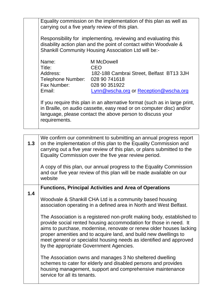|  | Equality commission on the implementation of this plan as well as<br>carrying out a five yearly review of this plan.<br>Responsibility for implementing, reviewing and evaluating this<br>disability action plan and the point of contact within Woodvale &<br>Shankill Community Housing Association Ltd will be:- |                                                                                                                          |  |
|--|---------------------------------------------------------------------------------------------------------------------------------------------------------------------------------------------------------------------------------------------------------------------------------------------------------------------|--------------------------------------------------------------------------------------------------------------------------|--|
|  |                                                                                                                                                                                                                                                                                                                     |                                                                                                                          |  |
|  | Name:<br>Title:<br>Address:<br>Telephone Number: 028 90 741618<br>Fax Number:<br>Email:                                                                                                                                                                                                                             | M McDowell<br>CEO<br>182-188 Cambrai Street, Belfast BT13 3JH<br>028 90 351 922<br>Lynn@wscha.org or Reception@wscha.org |  |
|  | If you require this plan in an alternative format (such as in large print,<br>in Braille, on audio cassette, easy read or on computer disc) and/or<br>language, please contact the above person to discuss your<br>requirements.                                                                                    |                                                                                                                          |  |

| 1.3 | We confirm our commitment to submitting an annual progress report<br>on the implementation of this plan to the Equality Commission and<br>carrying out a five year review of this plan, or plans submitted to the<br>Equality Commission over the five year review period.<br>A copy of this plan, our annual progress to the Equality Commission<br>and our five year review of this plan will be made available on our<br>website                                                                                                                                                                         |
|-----|-------------------------------------------------------------------------------------------------------------------------------------------------------------------------------------------------------------------------------------------------------------------------------------------------------------------------------------------------------------------------------------------------------------------------------------------------------------------------------------------------------------------------------------------------------------------------------------------------------------|
| 1.4 | <b>Functions, Principal Activities and Area of Operations</b><br>Woodvale & Shankill CHA Ltd is a community based housing<br>association operating in a defined area in North and West Belfast.<br>The Association is a registered non-profit making body, established to<br>provide social rented housing accommodation for those in need. It<br>aims to purchase, modernise, renovate or renew older houses lacking<br>proper amenities and to acquire land, and build new dwellings to<br>meet general or specialist housing needs as identified and approved<br>by the appropriate Government Agencies. |
|     | The Association owns and manages 3 No sheltered dwelling<br>schemes to cater for elderly and disabled persons and provides<br>housing management, support and comprehensive maintenance<br>service for all its tenants.                                                                                                                                                                                                                                                                                                                                                                                     |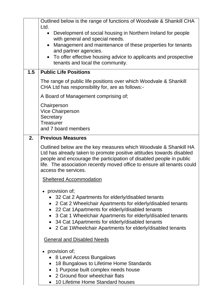|     | Outlined below is the range of functions of Woodvale & Shankill CHA                                                                                                                                                                                                                                                                                                               |  |  |
|-----|-----------------------------------------------------------------------------------------------------------------------------------------------------------------------------------------------------------------------------------------------------------------------------------------------------------------------------------------------------------------------------------|--|--|
|     | Ltd.<br>Development of social housing in Northern Ireland for people<br>$\bullet$<br>with general and special needs.<br>Management and maintenance of these properties for tenants<br>$\bullet$<br>and partner agencies.<br>To offer effective housing advice to applicants and prospective<br>$\bullet$<br>tenants and local the community.                                      |  |  |
| 1.5 | <b>Public Life Positions</b>                                                                                                                                                                                                                                                                                                                                                      |  |  |
|     | The range of public life positions over which Woodvale & Shankill<br>CHA Ltd has responsibility for, are as follows:-                                                                                                                                                                                                                                                             |  |  |
|     | A Board of Management comprising of;                                                                                                                                                                                                                                                                                                                                              |  |  |
|     | Chairperson<br><b>Vice Chairperson</b><br>Secretary<br><b>Treasurer</b><br>and 7 board members                                                                                                                                                                                                                                                                                    |  |  |
| 2.  | <b>Previous Measures</b>                                                                                                                                                                                                                                                                                                                                                          |  |  |
|     | Outlined below are the key measures which Woodvale & Shankill HA<br>Ltd has already taken to promote positive attitudes towards disabled<br>people and encourage the participation of disabled people in public<br>life. The association recently moved office to ensure all tenants could<br>access the services.                                                                |  |  |
|     | <b>Sheltered Accommodation</b>                                                                                                                                                                                                                                                                                                                                                    |  |  |
|     | • provision of;<br>• 32 Cat 2 Apartments for elderly/disabled tenants<br>• 2 Cat 2 Wheelchair Apartments for elderly/disabled tenants<br>• 22 Cat 1 Apartments for elderly/disabled tenants<br>• 3 Cat 1 Wheelchair Apartments for elderly/disabled tenants<br>• 34 Cat 1 Apartments for elderly/disabled tenants<br>• 2 Cat 1 Wheelchair Apartments for elderly/disabled tenants |  |  |
|     | <b>General and Disabled Needs</b>                                                                                                                                                                                                                                                                                                                                                 |  |  |
|     | provision of;<br>• 8 Level Access Bungalows<br>• 18 Bungalows to Lifetime Home Standards<br>1 Purpose built complex needs house<br>$\bullet$<br>• 2 Ground floor wheelchair flats<br>10 Lifetime Home Standard houses                                                                                                                                                             |  |  |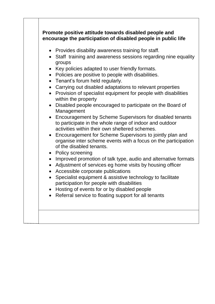|                        | encourage the participation of disabled people in public life                                                                                                                                                                                                                                                                              |
|------------------------|--------------------------------------------------------------------------------------------------------------------------------------------------------------------------------------------------------------------------------------------------------------------------------------------------------------------------------------------|
| $\bullet$<br>$\bullet$ | • Provides disability awareness training for staff.<br>• Staff training and awareness sessions regarding nine equality<br>groups<br>Key policies adapted to user friendly formats.<br>Policies are positive to people with disabilities.<br>• Tenant's forum held regularly.<br>• Carrying out disabled adaptations to relevant properties |
| $\bullet$              | Provision of specialist equipment for people with disabilities<br>within the property                                                                                                                                                                                                                                                      |
|                        | Disabled people encouraged to participate on the Board of<br>Management<br>• Encouragement by Scheme Supervisors for disabled tenants                                                                                                                                                                                                      |
|                        | to participate in the whole range of indoor and outdoor<br>activities within their own sheltered schemes.                                                                                                                                                                                                                                  |
|                        | • Encouragement for Scheme Supervisors to jointly plan and<br>organise inter scheme events with a focus on the participation<br>of the disabled tenants.                                                                                                                                                                                   |
|                        | • Policy screening                                                                                                                                                                                                                                                                                                                         |
|                        | Improved promotion of talk type, audio and alternative formats<br>Adjustment of services eg home visits by housing officer<br>Accessible corporate publications                                                                                                                                                                            |
|                        | Specialist equipment & assistive technology to facilitate<br>participation for people with disabilities                                                                                                                                                                                                                                    |
|                        | Hosting of events for or by disabled people                                                                                                                                                                                                                                                                                                |
|                        | Referral service to floating support for all tenants                                                                                                                                                                                                                                                                                       |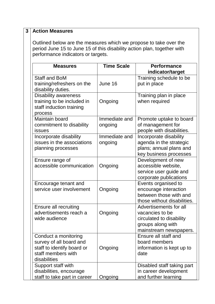| 3 | <b>Action Measures</b>                                                                                                                                                             |                          |                                                                                                                      |
|---|------------------------------------------------------------------------------------------------------------------------------------------------------------------------------------|--------------------------|----------------------------------------------------------------------------------------------------------------------|
|   | Outlined below are the measures which we propose to take over the<br>period June 15 to June 15 of this disability action plan, together with<br>performance indicators or targets. |                          |                                                                                                                      |
|   | <b>Measures</b>                                                                                                                                                                    | <b>Time Scale</b>        | <b>Performance</b><br>indicator/target                                                                               |
|   | <b>Staff and BoM</b><br>training/refreshers on the<br>disability duties.                                                                                                           | June 16                  | Training schedule to be<br>put in place                                                                              |
|   | <b>Disability awareness</b><br>training to be included in<br>staff induction training<br>process                                                                                   | Ongoing                  | Training plan in place<br>when required                                                                              |
|   | Maintain board<br>commitment to disability<br><b>issues</b>                                                                                                                        | Immediate and<br>ongoing | Promote uptake to board<br>of management for<br>people with disabilities.                                            |
|   | Incorporate disability<br>issues in the associations<br>planning processes                                                                                                         | Immediate and<br>ongoing | Incorporate disability<br>agenda in the strategic<br>plans; annual plans and<br>key business processes               |
|   | Ensure range of<br>accessible communication                                                                                                                                        | Ongoing                  | Development of new<br>accessible website,<br>service user guide and<br>corporate publications                        |
|   | Encourage tenant and<br>service user involvement                                                                                                                                   | Ongoing                  | Events organised to<br>encourage interaction<br>between those with and<br>those without disabilities.                |
|   | Ensure all recruiting<br>advertisements reach a<br>wide audience                                                                                                                   | Ongoing                  | Advertisements for all<br>vacancies to be<br>circulated to disability<br>groups along with<br>mainstream newspapers. |
|   | Conduct a monitoring<br>survey of all board and<br>staff to identify board or<br>staff members with<br>disabilities                                                                | Ongoing                  | Ensure all staff and<br>board members<br>information is kept up to<br>date                                           |
|   | Support staff with<br>disabilities, encourage<br>staff to take part in career                                                                                                      | Ongoing                  | Disabled staff taking part<br>in career development<br>and further learning                                          |